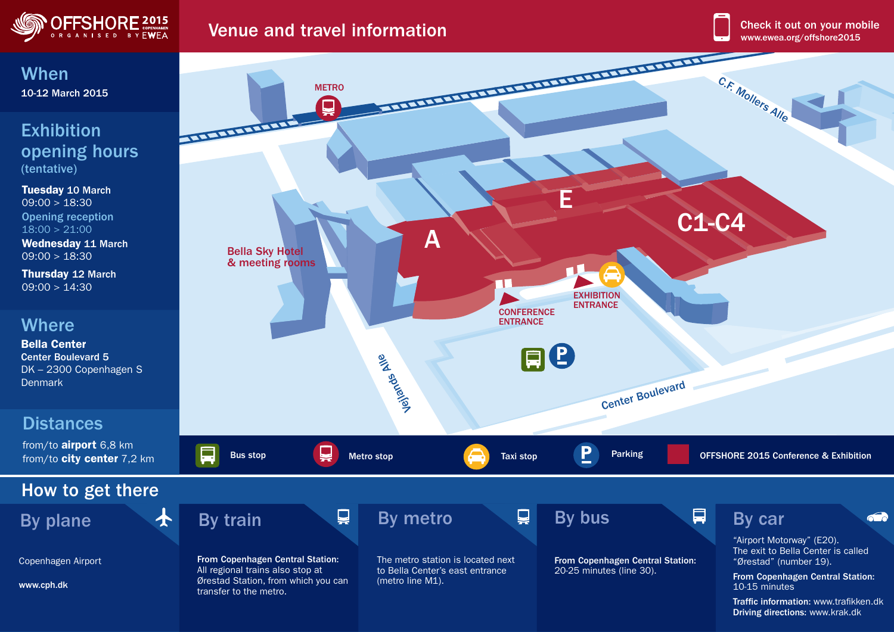

## Venue and travel information www.ewea.org/offshore2015



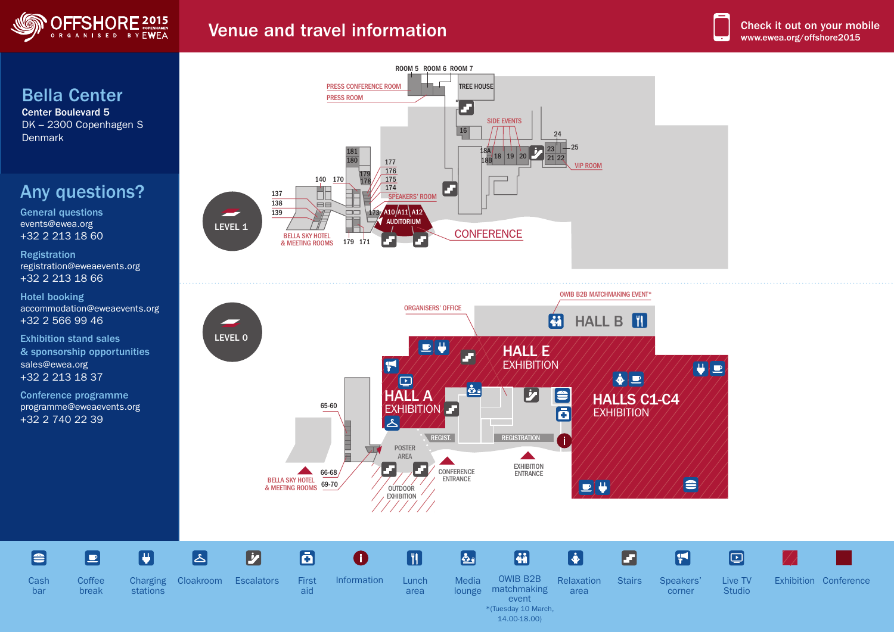

## Venue and travel information

## Bella Center

Center Boulevard 5 DK – 2300 Copenhagen S **Denmark** 

## Any questions?

General questions events@ewea.org +32 2 213 18 60

Registration registration@eweaevents.org +32 2 213 18 66

Hotel booking accommodation@eweaevents.org +32 2 566 99 46

Exhibition stand sales & sponsorship opportunities sales@ewea.org +32 2 213 18 37

Conference programme programme@eweaevents.org +32 2 740 22 39